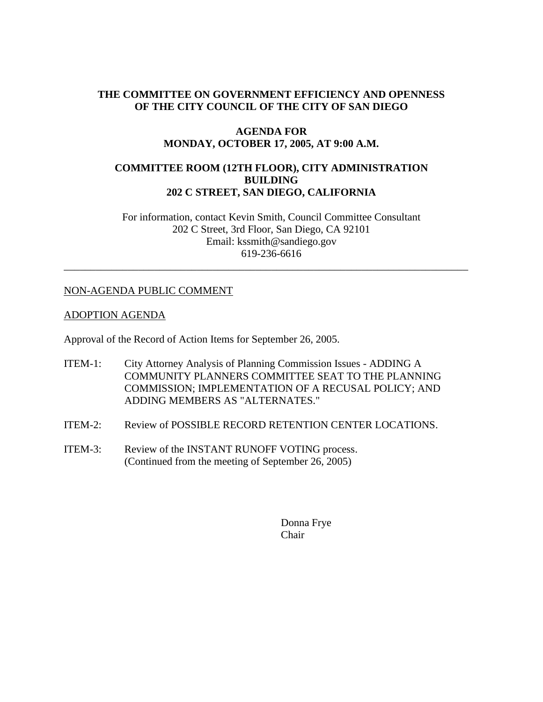## **THE COMMITTEE ON GOVERNMENT EFFICIENCY AND OPENNESS OF THE CITY COUNCIL OF THE CITY OF SAN DIEGO**

### **AGENDA FOR MONDAY, OCTOBER 17, 2005, AT 9:00 A.M.**

## **COMMITTEE ROOM (12TH FLOOR), CITY ADMINISTRATION BUILDING 202 C STREET, SAN DIEGO, CALIFORNIA**

For information, contact Kevin Smith, Council Committee Consultant 202 C Street, 3rd Floor, San Diego, CA 92101 Email: kssmith@sandiego.gov 619-236-6616

\_\_\_\_\_\_\_\_\_\_\_\_\_\_\_\_\_\_\_\_\_\_\_\_\_\_\_\_\_\_\_\_\_\_\_\_\_\_\_\_\_\_\_\_\_\_\_\_\_\_\_\_\_\_\_\_\_\_\_\_\_\_\_\_\_\_\_\_\_\_\_\_\_\_\_\_

### NON-AGENDA PUBLIC COMMENT

#### ADOPTION AGENDA

Approval of the Record of Action Items for September 26, 2005.

- ITEM-1: City Attorney Analysis of Planning Commission Issues ADDING A COMMUNITY PLANNERS COMMITTEE SEAT TO THE PLANNING COMMISSION; IMPLEMENTATION OF A RECUSAL POLICY; AND ADDING MEMBERS AS "ALTERNATES."
- ITEM-2: Review of POSSIBLE RECORD RETENTION CENTER LOCATIONS.
- ITEM-3: Review of the INSTANT RUNOFF VOTING process. (Continued from the meeting of September 26, 2005)

Donna Frye Chair